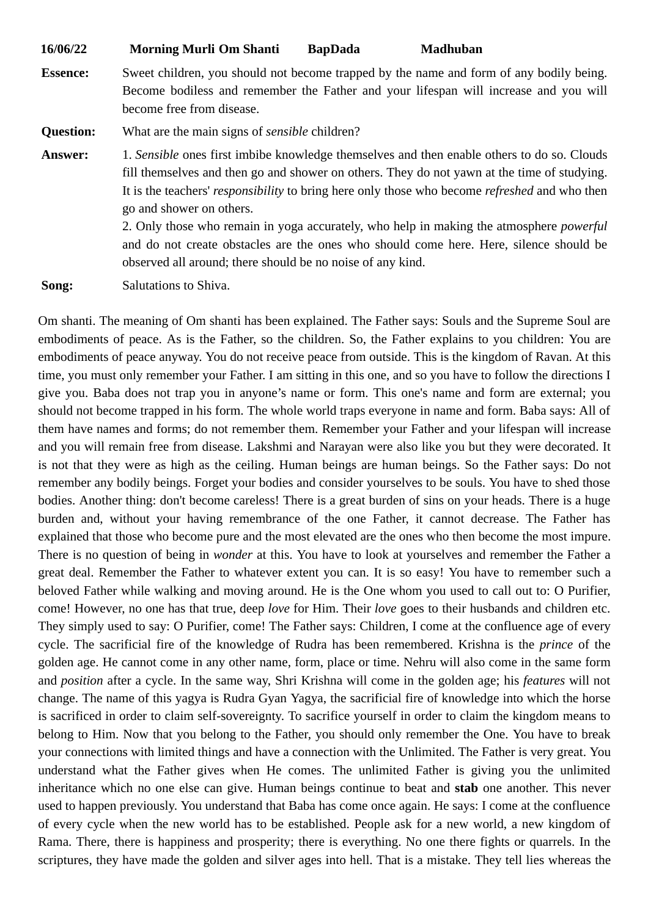| 16/06/22         | <b>Morning Murli Om Shanti</b>                                                                                                                                                                                                                                                                                                                                                                                                                                                                                                                                                   | <b>BapDada</b> | <b>Madhuban</b> |
|------------------|----------------------------------------------------------------------------------------------------------------------------------------------------------------------------------------------------------------------------------------------------------------------------------------------------------------------------------------------------------------------------------------------------------------------------------------------------------------------------------------------------------------------------------------------------------------------------------|----------------|-----------------|
| <b>Essence:</b>  | Sweet children, you should not become trapped by the name and form of any bodily being.<br>Become bodiless and remember the Father and your lifespan will increase and you will<br>become free from disease.                                                                                                                                                                                                                                                                                                                                                                     |                |                 |
| <b>Question:</b> | What are the main signs of sensible children?                                                                                                                                                                                                                                                                                                                                                                                                                                                                                                                                    |                |                 |
| <b>Answer:</b>   | 1. Sensible ones first imbibe knowledge themselves and then enable others to do so. Clouds<br>fill themselves and then go and shower on others. They do not yawn at the time of studying.<br>It is the teachers' responsibility to bring here only those who become refreshed and who then<br>go and shower on others.<br>2. Only those who remain in yoga accurately, who help in making the atmosphere <i>powerful</i><br>and do not create obstacles are the ones who should come here. Here, silence should be<br>observed all around; there should be no noise of any kind. |                |                 |

**Song:** Salutations to Shiva.

Om shanti. The meaning of Om shanti has been explained. The Father says: Souls and the Supreme Soul are embodiments of peace. As is the Father, so the children. So, the Father explains to you children: You are embodiments of peace anyway. You do not receive peace from outside. This is the kingdom of Ravan. At this time, you must only remember your Father. I am sitting in this one, and so you have to follow the directions I give you. Baba does not trap you in anyone's name or form. This one's name and form are external; you should not become trapped in his form. The whole world traps everyone in name and form. Baba says: All of them have names and forms; do not remember them. Remember your Father and your lifespan will increase and you will remain free from disease. Lakshmi and Narayan were also like you but they were decorated. It is not that they were as high as the ceiling. Human beings are human beings. So the Father says: Do not remember any bodily beings. Forget your bodies and consider yourselves to be souls. You have to shed those bodies. Another thing: don't become careless! There is a great burden of sins on your heads. There is a huge burden and, without your having remembrance of the one Father, it cannot decrease. The Father has explained that those who become pure and the most elevated are the ones who then become the most impure. There is no question of being in *wonder* at this. You have to look at yourselves and remember the Father a great deal. Remember the Father to whatever extent you can. It is so easy! You have to remember such a beloved Father while walking and moving around. He is the One whom you used to call out to: O Purifier, come! However, no one has that true, deep *love* for Him. Their *love* goes to their husbands and children etc. They simply used to say: O Purifier, come! The Father says: Children, I come at the confluence age of every cycle. The sacrificial fire of the knowledge of Rudra has been remembered. Krishna is the *prince* of the golden age. He cannot come in any other name, form, place or time. Nehru will also come in the same form and *position* after a cycle. In the same way, Shri Krishna will come in the golden age; his *features* will not change. The name of this yagya is Rudra Gyan Yagya, the sacrificial fire of knowledge into which the horse is sacrificed in order to claim self-sovereignty. To sacrifice yourself in order to claim the kingdom means to belong to Him. Now that you belong to the Father, you should only remember the One. You have to break your connections with limited things and have a connection with the Unlimited. The Father is very great. You understand what the Father gives when He comes. The unlimited Father is giving you the unlimited inheritance which no one else can give. Human beings continue to beat and **stab** one another. This never used to happen previously. You understand that Baba has come once again. He says: I come at the confluence of every cycle when the new world has to be established. People ask for a new world, a new kingdom of Rama. There, there is happiness and prosperity; there is everything. No one there fights or quarrels. In the scriptures, they have made the golden and silver ages into hell. That is a mistake. They tell lies whereas the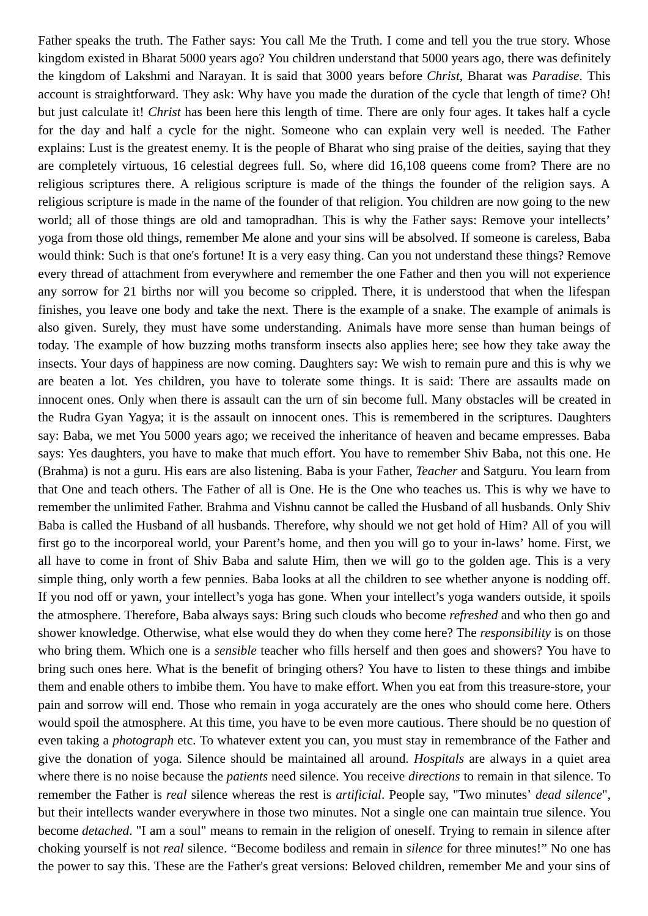Father speaks the truth. The Father says: You call Me the Truth. I come and tell you the true story. Whose kingdom existed in Bharat 5000 years ago? You children understand that 5000 years ago, there was definitely the kingdom of Lakshmi and Narayan. It is said that 3000 years before *Christ*, Bharat was *Paradise*. This account is straightforward. They ask: Why have you made the duration of the cycle that length of time? Oh! but just calculate it! *Christ* has been here this length of time. There are only four ages. It takes half a cycle for the day and half a cycle for the night. Someone who can explain very well is needed. The Father explains: Lust is the greatest enemy. It is the people of Bharat who sing praise of the deities, saying that they are completely virtuous, 16 celestial degrees full. So, where did 16,108 queens come from? There are no religious scriptures there. A religious scripture is made of the things the founder of the religion says. A religious scripture is made in the name of the founder of that religion. You children are now going to the new world; all of those things are old and tamopradhan. This is why the Father says: Remove your intellects' yoga from those old things, remember Me alone and your sins will be absolved. If someone is careless, Baba would think: Such is that one's fortune! It is a very easy thing. Can you not understand these things? Remove every thread of attachment from everywhere and remember the one Father and then you will not experience any sorrow for 21 births nor will you become so crippled. There, it is understood that when the lifespan finishes, you leave one body and take the next. There is the example of a snake. The example of animals is also given. Surely, they must have some understanding. Animals have more sense than human beings of today. The example of how buzzing moths transform insects also applies here; see how they take away the insects. Your days of happiness are now coming. Daughters say: We wish to remain pure and this is why we are beaten a lot. Yes children, you have to tolerate some things. It is said: There are assaults made on innocent ones. Only when there is assault can the urn of sin become full. Many obstacles will be created in the Rudra Gyan Yagya; it is the assault on innocent ones. This is remembered in the scriptures. Daughters say: Baba, we met You 5000 years ago; we received the inheritance of heaven and became empresses. Baba says: Yes daughters, you have to make that much effort. You have to remember Shiv Baba, not this one. He (Brahma) is not a guru. His ears are also listening. Baba is your Father, *Teacher* and Satguru. You learn from that One and teach others. The Father of all is One. He is the One who teaches us. This is why we have to remember the unlimited Father. Brahma and Vishnu cannot be called the Husband of all husbands. Only Shiv Baba is called the Husband of all husbands. Therefore, why should we not get hold of Him? All of you will first go to the incorporeal world, your Parent's home, and then you will go to your in-laws' home. First, we all have to come in front of Shiv Baba and salute Him, then we will go to the golden age. This is a very simple thing, only worth a few pennies. Baba looks at all the children to see whether anyone is nodding off. If you nod off or yawn, your intellect's yoga has gone. When your intellect's yoga wanders outside, it spoils the atmosphere. Therefore, Baba always says: Bring such clouds who become *refreshed* and who then go and shower knowledge. Otherwise, what else would they do when they come here? The *responsibility* is on those who bring them. Which one is a *sensible* teacher who fills herself and then goes and showers? You have to bring such ones here. What is the benefit of bringing others? You have to listen to these things and imbibe them and enable others to imbibe them. You have to make effort. When you eat from this treasure-store, your pain and sorrow will end. Those who remain in yoga accurately are the ones who should come here. Others would spoil the atmosphere. At this time, you have to be even more cautious. There should be no question of even taking a *photograph* etc. To whatever extent you can, you must stay in remembrance of the Father and give the donation of yoga. Silence should be maintained all around. *Hospitals* are always in a quiet area where there is no noise because the *patients* need silence. You receive *directions* to remain in that silence. To remember the Father is *real* silence whereas the rest is *artificial*. People say, "Two minutes' *dead silence*", but their intellects wander everywhere in those two minutes. Not a single one can maintain true silence. You become *detached*. "I am a soul" means to remain in the religion of oneself. Trying to remain in silence after choking yourself is not *real* silence. "Become bodiless and remain in *silence* for three minutes!" No one has the power to say this. These are the Father's great versions: Beloved children, remember Me and your sins of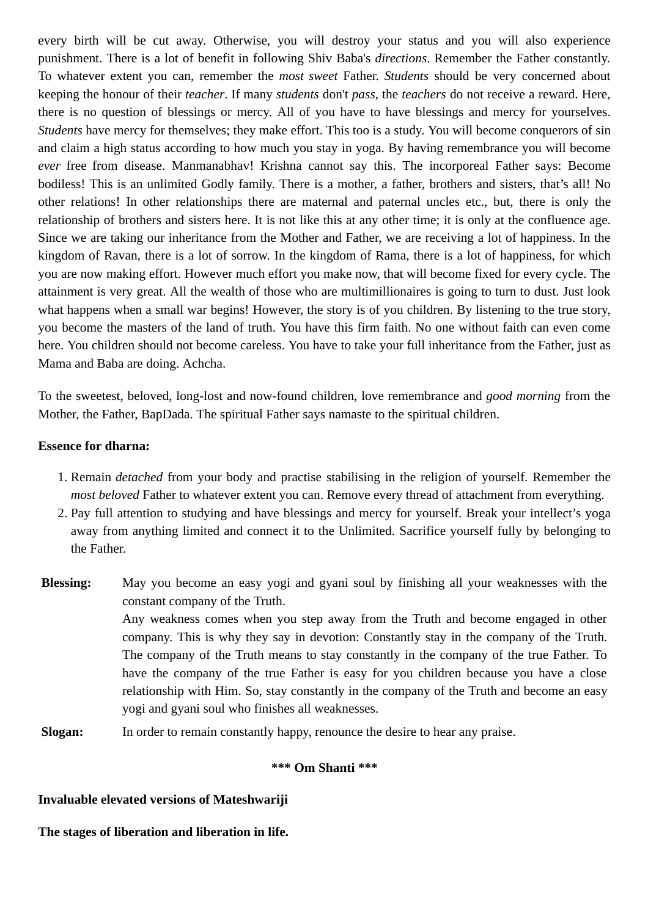every birth will be cut away. Otherwise, you will destroy your status and you will also experience punishment. There is a lot of benefit in following Shiv Baba's *directions*. Remember the Father constantly. To whatever extent you can, remember the *most sweet* Father. *Students* should be very concerned about keeping the honour of their *teacher*. If many *students* don't *pass*, the *teachers* do not receive a reward. Here, there is no question of blessings or mercy. All of you have to have blessings and mercy for yourselves. *Students* have mercy for themselves; they make effort. This too is a study. You will become conquerors of sin and claim a high status according to how much you stay in yoga. By having remembrance you will become *ever* free from disease. Manmanabhav! Krishna cannot say this. The incorporeal Father says: Become bodiless! This is an unlimited Godly family. There is a mother, a father, brothers and sisters, that's all! No other relations! In other relationships there are maternal and paternal uncles etc., but, there is only the relationship of brothers and sisters here. It is not like this at any other time; it is only at the confluence age. Since we are taking our inheritance from the Mother and Father, we are receiving a lot of happiness. In the kingdom of Ravan, there is a lot of sorrow. In the kingdom of Rama, there is a lot of happiness, for which you are now making effort. However much effort you make now, that will become fixed for every cycle. The attainment is very great. All the wealth of those who are multimillionaires is going to turn to dust. Just look what happens when a small war begins! However, the story is of you children. By listening to the true story, you become the masters of the land of truth. You have this firm faith. No one without faith can even come here. You children should not become careless. You have to take your full inheritance from the Father, just as Mama and Baba are doing. Achcha.

To the sweetest, beloved, long-lost and now-found children, love remembrance and *good morning* from the Mother, the Father, BapDada. The spiritual Father says namaste to the spiritual children.

## **Essence for dharna:**

- 1. Remain *detached* from your body and practise stabilising in the religion of yourself. Remember the *most beloved* Father to whatever extent you can. Remove every thread of attachment from everything.
- 2. Pay full attention to studying and have blessings and mercy for yourself. Break your intellect's yoga away from anything limited and connect it to the Unlimited. Sacrifice yourself fully by belonging to the Father.
- **Blessing:** May you become an easy yogi and gyani soul by finishing all your weaknesses with the constant company of the Truth. Any weakness comes when you step away from the Truth and become engaged in other company. This is why they say in devotion: Constantly stay in the company of the Truth. The company of the Truth means to stay constantly in the company of the true Father. To have the company of the true Father is easy for you children because you have a close relationship with Him. So, stay constantly in the company of the Truth and become an easy yogi and gyani soul who finishes all weaknesses.
- **Slogan:** In order to remain constantly happy, renounce the desire to hear any praise.

## **\*\*\* Om Shanti \*\*\***

## **Invaluable elevated versions of Mateshwariji**

**The stages of liberation and liberation in life.**